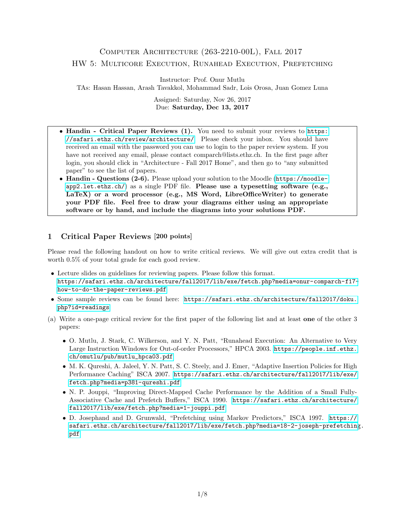# Computer Architecture (263-2210-00L), Fall 2017 HW 5: Multicore Execution, Runahead Execution, Prefetching

Instructor: Prof. Onur Mutlu

TAs: Hasan Hassan, Arash Tavakkol, Mohammad Sadr, Lois Orosa, Juan Gomez Luna

Assigned: Saturday, Nov 26, 2017 Due: Saturday, Dec 13, 2017

- Handin Critical Paper Reviews (1). You need to submit your reviews to [https:](https://safari.ethz.ch/review/architecture/) [//safari.ethz.ch/review/architecture/](https://safari.ethz.ch/review/architecture/). Please check your inbox. You should have received an email with the password you can use to login to the paper review system. If you have not received any email, please contact comparch@lists.ethz.ch. In the first page after login, you should click in "Architecture - Fall 2017 Home", and then go to "any submitted paper" to see the list of papers.
- Handin Questions (2-6). Please upload your solution to the Moodle ([https://moodle](https://moodle-app2.let.ethz.ch/) $app2.1$ et.ethz.ch/) as a single PDF file. Please use a typesetting software (e.g., LaTeX) or a word processor (e.g., MS Word, LibreOfficeWriter) to generate your PDF file. Feel free to draw your diagrams either using an appropriate software or by hand, and include the diagrams into your solutions PDF.

## 1 Critical Paper Reviews [200 points]

Please read the following handout on how to write critical reviews. We will give out extra credit that is worth 0.5% of your total grade for each good review.

- Lecture slides on guidelines for reviewing papers. Please follow this format. [https://safari.ethz.ch/architecture/fall2017/lib/exe/fetch.php?media=onur-comparch-f17](https://safari.ethz.ch/architecture/fall2017/lib/exe/fetch.php?media=onur-comparch-f17-how-to-do-the-paper-reviews.pdf) [how-to-do-the-paper-reviews.pdf](https://safari.ethz.ch/architecture/fall2017/lib/exe/fetch.php?media=onur-comparch-f17-how-to-do-the-paper-reviews.pdf)
- Some sample reviews can be found here: [https://safari.ethz.ch/architecture/fall2017/doku.](https://safari.ethz.ch/architecture/fall2017/doku.php?id=readings) [php?id=readings](https://safari.ethz.ch/architecture/fall2017/doku.php?id=readings)
- (a) Write a one-page critical review for the first paper of the following list and at least one of the other 3 papers:
	- O. Mutlu, J. Stark, C. Wilkerson, and Y. N. Patt, "Runahead Execution: An Alternative to Very Large Instruction Windows for Out-of-order Processors," HPCA 2003. [https://people.inf.ethz.](https://people.inf.ethz.ch/omutlu/pub/mutlu_hpca03.pdf) [ch/omutlu/pub/mutlu\\_hpca03.pdf](https://people.inf.ethz.ch/omutlu/pub/mutlu_hpca03.pdf)
	- M. K. Qureshi, A. Jaleel, Y. N. Patt, S. C. Steely, and J. Emer, "Adaptive Insertion Policies for High Performance Caching" ISCA 2007. [https://safari.ethz.ch/architecture/fall2017/lib/exe/](https://safari.ethz.ch/architecture/fall2017/lib/exe/fetch.php?media=p381-qureshi.pdf) [fetch.php?media=p381-qureshi.pdf](https://safari.ethz.ch/architecture/fall2017/lib/exe/fetch.php?media=p381-qureshi.pdf)
	- N. P. Jouppi, "Improving Direct-Mapped Cache Performance by the Addition of a Small Fully-Associative Cache and Prefetch Buffers," ISCA 1990. [https://safari.ethz.ch/architecture/](https://safari.ethz.ch/architecture/fall2017/lib/exe/fetch.php?media=1-jouppi.pdf) [fall2017/lib/exe/fetch.php?media=1-jouppi.pdf](https://safari.ethz.ch/architecture/fall2017/lib/exe/fetch.php?media=1-jouppi.pdf)
	- D. Josephand and D. Grunwald, "Prefetching using Markov Predictors," ISCA 1997. [https://](https://safari.ethz.ch/architecture/fall2017/lib/exe/fetch.php?media=18-2-joseph-prefetching.pdf) [safari.ethz.ch/architecture/fall2017/lib/exe/fetch.php?media=18-2-joseph-prefetching](https://safari.ethz.ch/architecture/fall2017/lib/exe/fetch.php?media=18-2-joseph-prefetching.pdf). [pdf](https://safari.ethz.ch/architecture/fall2017/lib/exe/fetch.php?media=18-2-joseph-prefetching.pdf)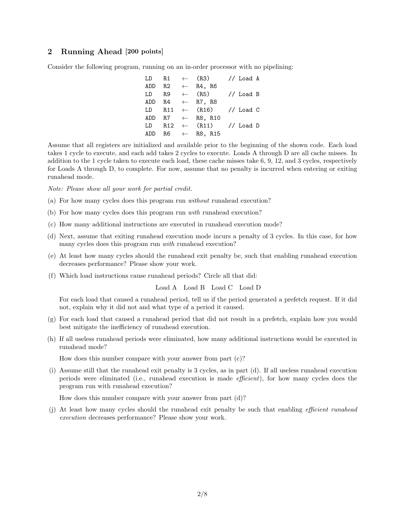#### 2 Running Ahead [200 points]

Consider the following program, running on an in-order processor with no pipelining:

|    |  | LD R1 $\leftarrow$ (R3) // Load A   |  |  |
|----|--|-------------------------------------|--|--|
|    |  | ADD R2 $\leftarrow$ R4, R6          |  |  |
| LD |  | $R9 \leftarrow (R5)$ // Load B      |  |  |
|    |  | ADD $R4 \leftarrow R7, R8$          |  |  |
|    |  | LD R11 $\leftarrow$ (R16) // Load C |  |  |
|    |  | ADD R7 $\leftarrow$ R8, R10         |  |  |
|    |  | LD R12 $\leftarrow$ (R11) // Load D |  |  |
|    |  | ADD R6 $\leftarrow$ R8, R15         |  |  |

Assume that all registers are initialized and available prior to the beginning of the shown code. Each load takes 1 cycle to execute, and each add takes 2 cycles to execute. Loads A through D are all cache misses. In addition to the 1 cycle taken to execute each load, these cache misses take 6, 9, 12, and 3 cycles, respectively for Loads A through D, to complete. For now, assume that no penalty is incurred when entering or exiting runahead mode.

Note: Please show all your work for partial credit.

- (a) For how many cycles does this program run without runahead execution?
- (b) For how many cycles does this program run with runahead execution?
- (c) How many additional instructions are executed in runahead execution mode?
- (d) Next, assume that exiting runahead execution mode incurs a penalty of 3 cycles. In this case, for how many cycles does this program run *with* runahead execution?
- (e) At least how many cycles should the runahead exit penalty be, such that enabling runahead execution decreases performance? Please show your work.
- (f) Which load instructions cause runahead periods? Circle all that did:

#### Load A Load B Load C Load D

For each load that caused a runahead period, tell us if the period generated a prefetch request. If it did not, explain why it did not and what type of a period it caused.

- (g) For each load that caused a runahead period that did not result in a prefetch, explain how you would best mitigate the inefficiency of runahead execution.
- (h) If all useless runahead periods were eliminated, how many additional instructions would be executed in runahead mode?

How does this number compare with your answer from part (c)?

(i) Assume still that the runahead exit penalty is 3 cycles, as in part (d). If all useless runahead execution periods were eliminated (i.e., runahead execution is made efficient), for how many cycles does the program run with runahead execution?

How does this number compare with your answer from part (d)?

(j) At least how many cycles should the runahead exit penalty be such that enabling efficient runahead execution decreases performance? Please show your work.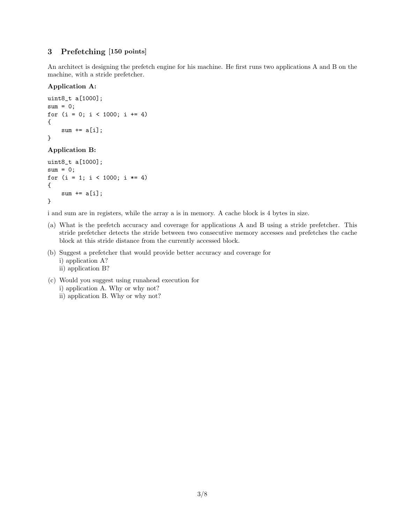### 3 Prefetching [150 points]

An architect is designing the prefetch engine for his machine. He first runs two applications A and B on the machine, with a stride prefetcher.

#### Application A:

```
uint8_t a[1000];
sum = 0;
for (i = 0; i < 1000; i += 4){
    sum += a[i];
}
```
#### Application B:

```
uint8_t a[1000];
sum = 0;
for (i = 1; i < 1000; i \neq 4){
    sum += a[i];
}
```
i and sum are in registers, while the array a is in memory. A cache block is 4 bytes in size.

- (a) What is the prefetch accuracy and coverage for applications A and B using a stride prefetcher. This stride prefetcher detects the stride between two consecutive memory accesses and prefetches the cache block at this stride distance from the currently accessed block.
- (b) Suggest a prefetcher that would provide better accuracy and coverage for i) application A? ii) application B?
- (c) Would you suggest using runahead execution for i) application A. Why or why not?
	- ii) application B. Why or why not?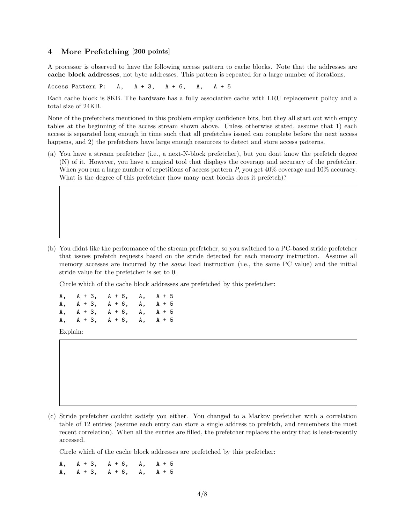#### 4 More Prefetching [200 points]

A processor is observed to have the following access pattern to cache blocks. Note that the addresses are cache block addresses, not byte addresses. This pattern is repeated for a large number of iterations.

Access Pattern P:  $A$ ,  $A + 3$ ,  $A + 6$ ,  $A$ ,  $A + 5$ 

Each cache block is 8KB. The hardware has a fully associative cache with LRU replacement policy and a total size of 24KB.

None of the prefetchers mentioned in this problem employ confidence bits, but they all start out with empty tables at the beginning of the access stream shown above. Unless otherwise stated, assume that 1) each access is separated long enough in time such that all prefetches issued can complete before the next access happens, and 2) the prefetchers have large enough resources to detect and store access patterns.

(a) You have a stream prefetcher (i.e., a next-N-block prefetcher), but you dont know the prefetch degree (N) of it. However, you have a magical tool that displays the coverage and accuracy of the prefetcher. When you run a large number of repetitions of access pattern P, you get  $40\%$  coverage and  $10\%$  accuracy. What is the degree of this prefetcher (how many next blocks does it prefetch)?

(b) You didnt like the performance of the stream prefetcher, so you switched to a PC-based stride prefetcher that issues prefetch requests based on the stride detected for each memory instruction. Assume all memory accesses are incurred by the *same* load instruction (i.e., the same PC value) and the initial stride value for the prefetcher is set to 0.

Circle which of the cache block addresses are prefetched by this prefetcher:

A, A + 3, A + 6, A, A + 5 A, A + 3, A + 6, A, A + 5<br>A, A + 3, A + 6, A, A + 5  $A, A + 3, A + 6, A,$ A, A + 3, A + 6, A, A + 5

Explain:

(c) Stride prefetcher couldnt satisfy you either. You changed to a Markov prefetcher with a correlation table of 12 entries (assume each entry can store a single address to prefetch, and remembers the most recent correlation). When all the entries are filled, the prefetcher replaces the entry that is least-recently accessed.

Circle which of the cache block addresses are prefetched by this prefetcher:

A, A + 3, A + 6, A, A + 5 A, A + 3, A + 6, A, A + 5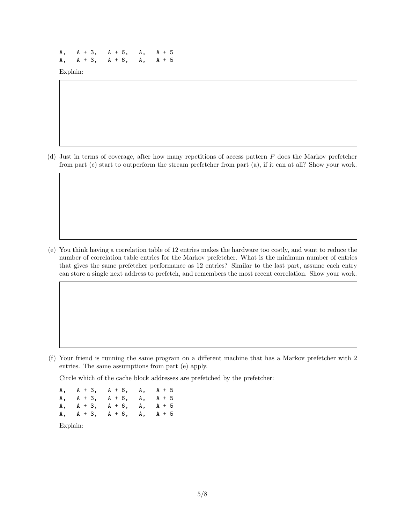A, A + 3, A + 6, A, A + 5 A, A + 3, A + 6, A, A + 5

Explain:

(d) Just in terms of coverage, after how many repetitions of access pattern P does the Markov prefetcher from part (c) start to outperform the stream prefetcher from part (a), if it can at all? Show your work.

(e) You think having a correlation table of 12 entries makes the hardware too costly, and want to reduce the number of correlation table entries for the Markov prefetcher. What is the minimum number of entries that gives the same prefetcher performance as 12 entries? Similar to the last part, assume each entry can store a single next address to prefetch, and remembers the most recent correlation. Show your work.

(f) Your friend is running the same program on a different machine that has a Markov prefetcher with 2 entries. The same assumptions from part (e) apply.

Circle which of the cache block addresses are prefetched by the prefetcher:

A, A + 3, A + 6, A, A + 5 A, A + 3, A + 6, A, A + 5 A, A + 3, A + 6, A, A + 5 A, A + 3, A + 6, A, A + 5

Explain: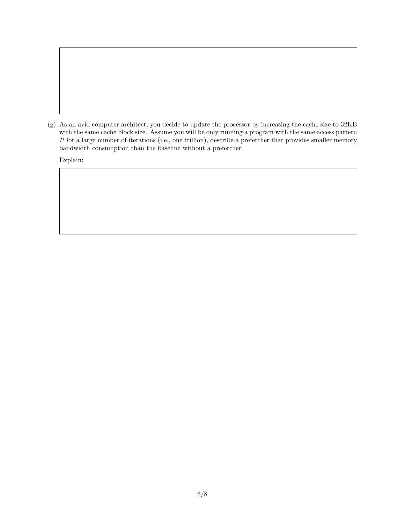(g) As an avid computer architect, you decide to update the processor by increasing the cache size to 32KB with the same cache block size. Assume you will be only running a program with the same access pattern P for a large number of iterations (i.e., one trillion), describe a prefetcher that provides smaller memory bandwidth consumption than the baseline without a prefetcher.

Explain: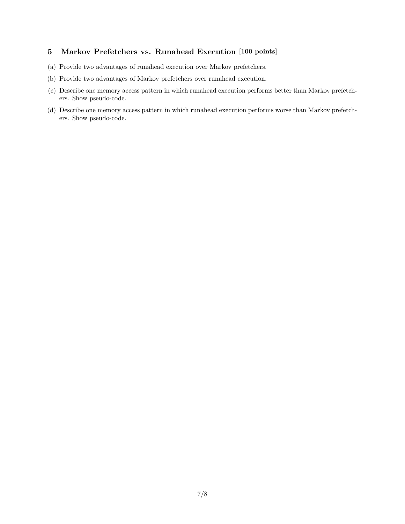## 5 Markov Prefetchers vs. Runahead Execution [100 points]

- (a) Provide two advantages of runahead execution over Markov prefetchers.
- (b) Provide two advantages of Markov prefetchers over runahead execution.
- (c) Describe one memory access pattern in which runahead execution performs better than Markov prefetchers. Show pseudo-code.
- (d) Describe one memory access pattern in which runahead execution performs worse than Markov prefetchers. Show pseudo-code.